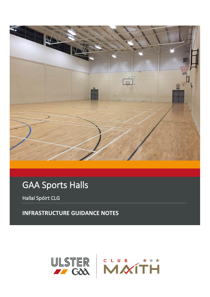

# **GAA Sports Halls**

Hallaí Spóirt CLG

**INFRASTRUCTURE GUIDANCE NOTES** 

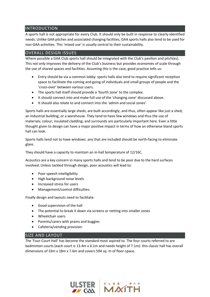# INTRODUCTION

A sports hall is not appropriate for every Club. It should only be built in response to clearly-identified needs. Unlike GAA pitches and associated changing facilities, GAA sports halls also tend to be used for non-GAA activities. This 'mixed use' is usually central to their sustainability.

# OVERALL DESIGN ISSUES

Where possible a GAA Club sports hall should be integrated with the Club's pavilion and pitch(es). This not only improves the delivery of the Club's business but provides economies of scale through the use of shared spaces and facilities. Assuming this is the case, good practice tells us:

- Entry should be via a common lobby: sports halls also tend to require significant reception space to facilitate the coming and going of individuals and small groups of people and the 'cross-over' between various users.
- The sports hall itself should provide a 'fourth zone' to the complex.
- It should connect into and make full use of the 'changing zone' discussed above.
- It should also relate to and connect into the 'admin and social zones'.

Sports halls are essentially large sheds; are built accordingly; and thus, often appear like just a shed; an industrial building; or a warehouse. They tend to have few windows and thus the use of materials; colour; insulated cladding; and surrounds are particularly important here. Even a little thought given to design can have a major positive impact in terms of how an otherwise bland sports hall can look.

Sports halls tend not to have windows: any that are included should be north-facing to eliminate glare.

They should have a capacity to maintain an in-hall temperature of 12/16C.

Acoustics are a key concern in many sports halls and tend to be poor due to the hard surfaces involved. Unless tackled through design, poor acoustics will lead to:

- Poor speech intelligibility
- High background noise levels
- Increased stress for users
- Management/control difficulties.

Finally design and layouts need to facilitate:

- Good supervision of the hall
- The potential to break it down via screens or netting into smaller zones
- Wheelchair users
- Parents/carers with prams and buggies
- Cafeteria/vending provision.

#### SIZE AND LAYOUT

The 'Four-Court Hall' has become the standard most aspired to. The four courts referred to are badminton courts (each court is 13.4m x 6.1m and needs height of 7.1m): this classic hall has overall dimensions of 33m x 18m x 7.6m and covers 594 sq. m of floor-space.

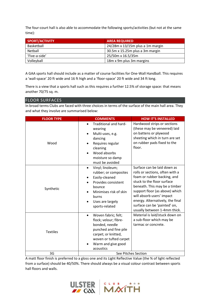The four-court hall is also able to accommodate the following sports/activities (but not at the same time):

| SPORT/ACTIVITY | <b>AREA REQUIRED</b>                    |  |
|----------------|-----------------------------------------|--|
| Basketball     | $24/28m \times 13/15m$ plus a 1m margin |  |
| Netball        | 30.5m x 15.25m plus a 3m margin         |  |
| 'Five-a-side'  | 25/50m x 16.5/35m                       |  |
| Volleyball     | 18m x 9m plus 3m margins                |  |

A GAA sports hall should include as a matter of course facilities for One-Wall Handball. This requires a 'wall-space' 20 ft wide and 16 ft high and a 'floor-space' 20 ft wide and 34 ft long.

There is a view that a sports hall such as this requires a further 12.5% of storage space: that means another 70/75 sq. m.

FLOOR SURFACES

In broad terms Clubs are faced with three choices in terms of the surface of the main hall area. They and what they involve are summarised below:

| <b>FLOOR TYPE</b> | <b>COMMENTS</b>                                                                                                                                                                          | <b>HOW IT'S INSTALLED</b>                                                                                                                                                                                                                                                                                                       |
|-------------------|------------------------------------------------------------------------------------------------------------------------------------------------------------------------------------------|---------------------------------------------------------------------------------------------------------------------------------------------------------------------------------------------------------------------------------------------------------------------------------------------------------------------------------|
| Wood              | Traditional and hard-<br>$\bullet$<br>wearing<br>Multi-uses, e.g.<br>dancing<br>Requires regular<br>cleaning<br>Wood absorbs<br>moisture so damp<br>must be avoided                      | Hardwood strips or sections<br>(these may be veneered) laid<br>on battens or plywood<br>sheeting which in turn are set<br>on rubber pads fixed to the<br>floor.                                                                                                                                                                 |
| Synthetic         | Vinyl; linoleum;<br>$\bullet$<br>rubber; or composites<br>Easily-cleaned<br>Provides consistent<br>bounce<br>Minimises risk of skin<br>burns<br>Uses are largely<br>sports-related       | Surface can be laid down as<br>rolls or sections, often with a<br>foam or rubber backing, and<br>stuck to the floor surface<br>beneath. This may be a timber<br>support floor (as above) which<br>will absorb users' impact<br>energy. Alternatively, the final<br>surface can be 'painted' on,<br>usually between 1-4mm thick. |
| <b>Textiles</b>   | Woven fabric; felt;<br>$\bullet$<br>flock; velour; fibre-<br>bonded, needle<br>punched and fine pile<br>carpet; or knitted,<br>woven or tufted carpet<br>Warm and give good<br>acoustics | Material is laid/stuck down on<br>a sub-floor which may be<br>tarmac or concrete.                                                                                                                                                                                                                                               |
| 3G                | See Pitches Section                                                                                                                                                                      |                                                                                                                                                                                                                                                                                                                                 |

A matt floor finish is preferred to a gloss one and its Light Reflective Value (the % of light reflected from a surface) should be 40/50%. There should always be a visual colour contrast between sports hall floors and walls.



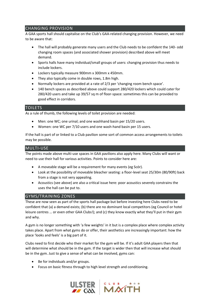## CHANGING PROVISION

A GAA sports hall should capitalise on the Club's GAA-related changing provision. However, we need to be aware that:

- The hall will probably generate many users and the Club needs to be confident the 140- odd changing room spaces (and associated shower provision) described above will meet demand.
- Sports halls have many individual/small groups of users: changing provision thus needs to include lockers.
- Lockers typically measure 900mm x 300mm x 450mm.
- They also typically come in double rows, 1.8m high.
- Normally lockers are provided at a rate of 2/3 per 'changing room bench space'.
- 140 bench spaces as described above could support 280/420 lockers which could cater for 280/420 users and take up 39/57 sq m of floor-space: sometimes this can be provided to good effect in corridors.

#### TOILETS

As a rule of thumb, the following levels of toilet provision are needed:

- Men: one WC; one urinal; and one washhand basin per 15/20 users.
- Women: one WC per 7/10 users and one wash-hand basin per 15 users.

If the hall is part of or linked to a Club pavilion some sort of common access arrangements to toilets may be possible.

#### MULTI-USE

The points made above multi-use spaces in GAA pavilions also apply here. Many Clubs will want or need to use their hall for various activities. Points to consider here are:

- A moveable stage will be a requirement for many events (eg Scór).
- Look at the possibility of moveable bleacher seating: a floor-level seat 25/30m (80/90ft) back from a stage is not very appealing.
- Acoustics (see above) are also a critical issue here: poor acoustics severely constrains the uses the hall can be put to.

#### GYMS/TRAINING ZONES

These are now seen as part of the sports hall package but before investing here Clubs need to be confident that (a) a demand exists; (b) there are no dominant local competitors (eg Council or hotel leisure centres … or even other GAA Clubs!); and (c) they know exactly what they'll put in their gym and why.

A gym is no longer something with 'a few weights' in it but is a complex place where complex activity takes place. Apart from what gyms do or offer, their aesthetics are increasingly important: how the place 'looks and feels' is a big part of it.

Clubs need to first decide who their market for the gym will be. If it's adult GAA players then that will determine what should be in the gym. If the target is wider then that will increase what should be in the gym. Just to give a sense of what can be involved, gyms can:

- Be for individuals and/or groups.
- Focus on basic fitness through to high level strength and conditioning.